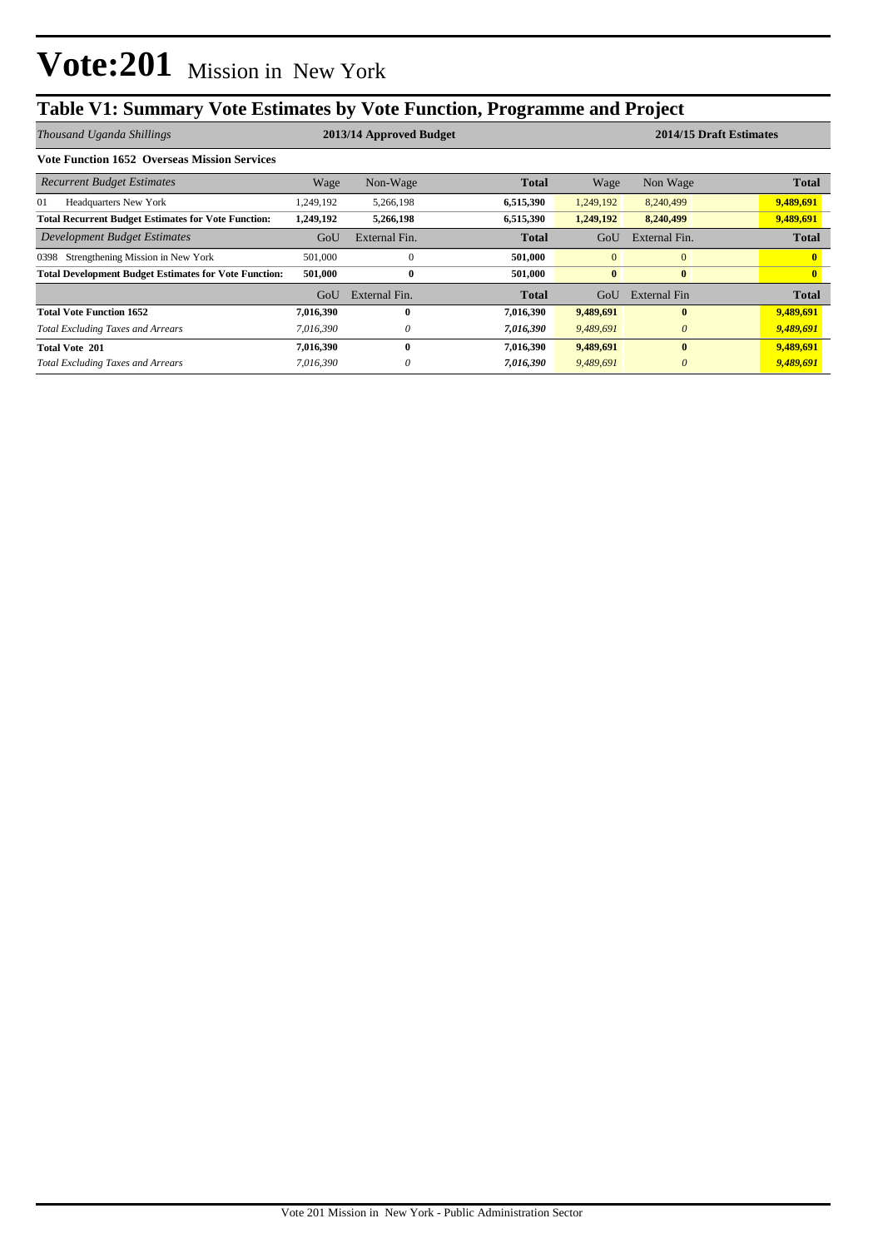# **Table V1: Summary Vote Estimates by Vote Function, Programme and Project**

| Thousand Uganda Shillings                                    | 2013/14 Approved Budget |               |              |                | 2014/15 Draft Estimates |              |  |  |
|--------------------------------------------------------------|-------------------------|---------------|--------------|----------------|-------------------------|--------------|--|--|
| <b>Vote Function 1652 Overseas Mission Services</b>          |                         |               |              |                |                         |              |  |  |
| <b>Recurrent Budget Estimates</b>                            | Wage                    | Non-Wage      | <b>Total</b> | Wage           | Non Wage                | <b>Total</b> |  |  |
| <b>Headquarters New York</b><br>01                           | .249,192                | 5,266,198     | 6,515,390    | 1,249,192      | 8,240,499               | 9,489,691    |  |  |
| <b>Total Recurrent Budget Estimates for Vote Function:</b>   | 1,249,192               | 5,266,198     | 6,515,390    | 1,249,192      | 8,240,499               | 9,489,691    |  |  |
| Development Budget Estimates                                 | GoU                     | External Fin. | <b>Total</b> | GoU            | External Fin.           | <b>Total</b> |  |  |
| Strengthening Mission in New York<br>0398                    | 501,000                 | $\Omega$      | 501,000      | $\overline{0}$ | $\theta$                |              |  |  |
| <b>Total Development Budget Estimates for Vote Function:</b> | 501,000                 | $\bf{0}$      | 501.000      | $\mathbf{0}$   | $\bf{0}$                |              |  |  |
|                                                              | GoU                     | External Fin. | <b>Total</b> | GoU            | External Fin            | <b>Total</b> |  |  |
| <b>Total Vote Function 1652</b>                              | 7,016,390               | $\mathbf{0}$  | 7,016,390    | 9,489,691      | $\bf{0}$                | 9,489,691    |  |  |
| <b>Total Excluding Taxes and Arrears</b>                     | 7.016.390               | $\theta$      | 7,016,390    | 9.489.691      | $\theta$                | 9,489,691    |  |  |
| <b>Total Vote 201</b>                                        | 7,016,390               | $\mathbf{0}$  | 7,016,390    | 9,489,691      | $\mathbf{0}$            | 9,489,691    |  |  |
| <b>Total Excluding Taxes and Arrears</b>                     | 7,016,390               | $\theta$      | 7,016,390    | 9,489,691      | $\theta$                | 9,489,691    |  |  |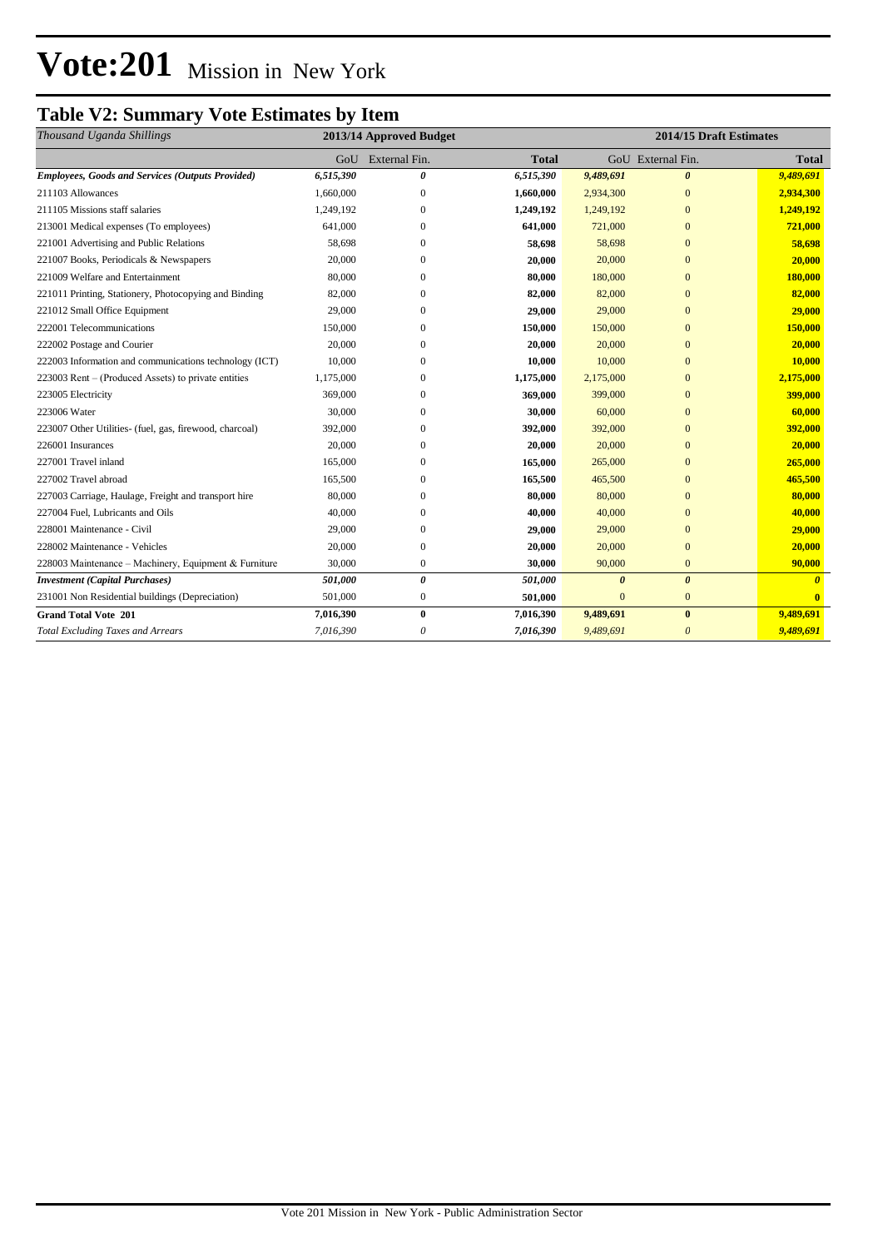# **Vote:201** Mission in New York

## **Table V2: Summary Vote Estimates by Item**

| Thousand Uganda Shillings                               | 2013/14 Approved Budget |                       | 2014/15 Draft Estimates |              |                       |              |
|---------------------------------------------------------|-------------------------|-----------------------|-------------------------|--------------|-----------------------|--------------|
|                                                         | GoU                     | External Fin.         | <b>Total</b>            |              | GoU External Fin.     | <b>Total</b> |
| <b>Employees, Goods and Services (Outputs Provided)</b> | 6,515,390               | 0                     | 6,515,390               | 9,489,691    | $\boldsymbol{\theta}$ | 9,489,691    |
| 211103 Allowances                                       | 1,660,000               | 0                     | 1,660,000               | 2,934,300    | $\mathbf{0}$          | 2,934,300    |
| 211105 Missions staff salaries                          | 1,249,192               | $\Omega$              | 1,249,192               | 1,249,192    | $\Omega$              | 1,249,192    |
| 213001 Medical expenses (To employees)                  | 641,000                 | $\Omega$              | 641,000                 | 721,000      | $\mathbf{0}$          | 721,000      |
| 221001 Advertising and Public Relations                 | 58,698                  | $\Omega$              | 58,698                  | 58,698       | $\mathbf{0}$          | 58,698       |
| 221007 Books, Periodicals & Newspapers                  | 20,000                  | $\Omega$              | 20,000                  | 20,000       | $\mathbf{0}$          | 20,000       |
| 221009 Welfare and Entertainment                        | 80,000                  | 0                     | 80,000                  | 180,000      | $\mathbf{0}$          | 180,000      |
| 221011 Printing, Stationery, Photocopying and Binding   | 82,000                  | 0                     | 82,000                  | 82,000       | $\mathbf{0}$          | 82,000       |
| 221012 Small Office Equipment                           | 29,000                  | 0                     | 29,000                  | 29,000       | $\mathbf{0}$          | 29,000       |
| 222001 Telecommunications                               | 150,000                 | 0                     | 150,000                 | 150,000      | $\Omega$              | 150,000      |
| 222002 Postage and Courier                              | 20,000                  | 0                     | 20,000                  | 20,000       | $\mathbf{0}$          | 20,000       |
| 222003 Information and communications technology (ICT)  | 10,000                  | $\Omega$              | 10,000                  | 10,000       | $\Omega$              | 10,000       |
| 223003 Rent – (Produced Assets) to private entities     | 1,175,000               | $\Omega$              | 1,175,000               | 2,175,000    | $\mathbf{0}$          | 2,175,000    |
| 223005 Electricity                                      | 369,000                 | 0                     | 369,000                 | 399,000      | $\mathbf{0}$          | 399,000      |
| 223006 Water                                            | 30,000                  | $\Omega$              | 30,000                  | 60,000       | $\mathbf{0}$          | 60,000       |
| 223007 Other Utilities- (fuel, gas, firewood, charcoal) | 392,000                 | 0                     | 392,000                 | 392,000      | $\mathbf{0}$          | 392,000      |
| 226001 Insurances                                       | 20,000                  | $\Omega$              | 20,000                  | 20,000       | $\Omega$              | 20,000       |
| 227001 Travel inland                                    | 165,000                 | $\Omega$              | 165,000                 | 265,000      | $\mathbf{0}$          | 265,000      |
| 227002 Travel abroad                                    | 165,500                 | 0                     | 165,500                 | 465,500      | $\Omega$              | 465,500      |
| 227003 Carriage, Haulage, Freight and transport hire    | 80,000                  | $\Omega$              | 80,000                  | 80,000       | $\mathbf{0}$          | 80,000       |
| 227004 Fuel, Lubricants and Oils                        | 40,000                  | 0                     | 40,000                  | 40,000       | $\Omega$              | 40,000       |
| 228001 Maintenance - Civil                              | 29,000                  | 0                     | 29,000                  | 29,000       | $\mathbf{0}$          | 29,000       |
| 228002 Maintenance - Vehicles                           | 20,000                  | $\theta$              | 20,000                  | 20,000       | $\Omega$              | 20,000       |
| 228003 Maintenance - Machinery, Equipment & Furniture   | 30,000                  | $\mathbf{0}$          | 30,000                  | 90,000       | $\mathbf{0}$          | 90,000       |
| <b>Investment</b> (Capital Purchases)                   | 501,000                 | $\boldsymbol{\theta}$ | 501,000                 | $\theta$     | $\boldsymbol{\theta}$ | $\theta$     |
| 231001 Non Residential buildings (Depreciation)         | 501,000                 | $\boldsymbol{0}$      | 501,000                 | $\mathbf{0}$ | $\mathbf{0}$          | $\mathbf{0}$ |
| <b>Grand Total Vote 201</b>                             | 7,016,390               | $\bf{0}$              | 7,016,390               | 9,489,691    | $\bf{0}$              | 9,489,691    |
| <b>Total Excluding Taxes and Arrears</b>                | 7,016,390               | 0                     | 7,016,390               | 9,489,691    | $\boldsymbol{\theta}$ | 9,489,691    |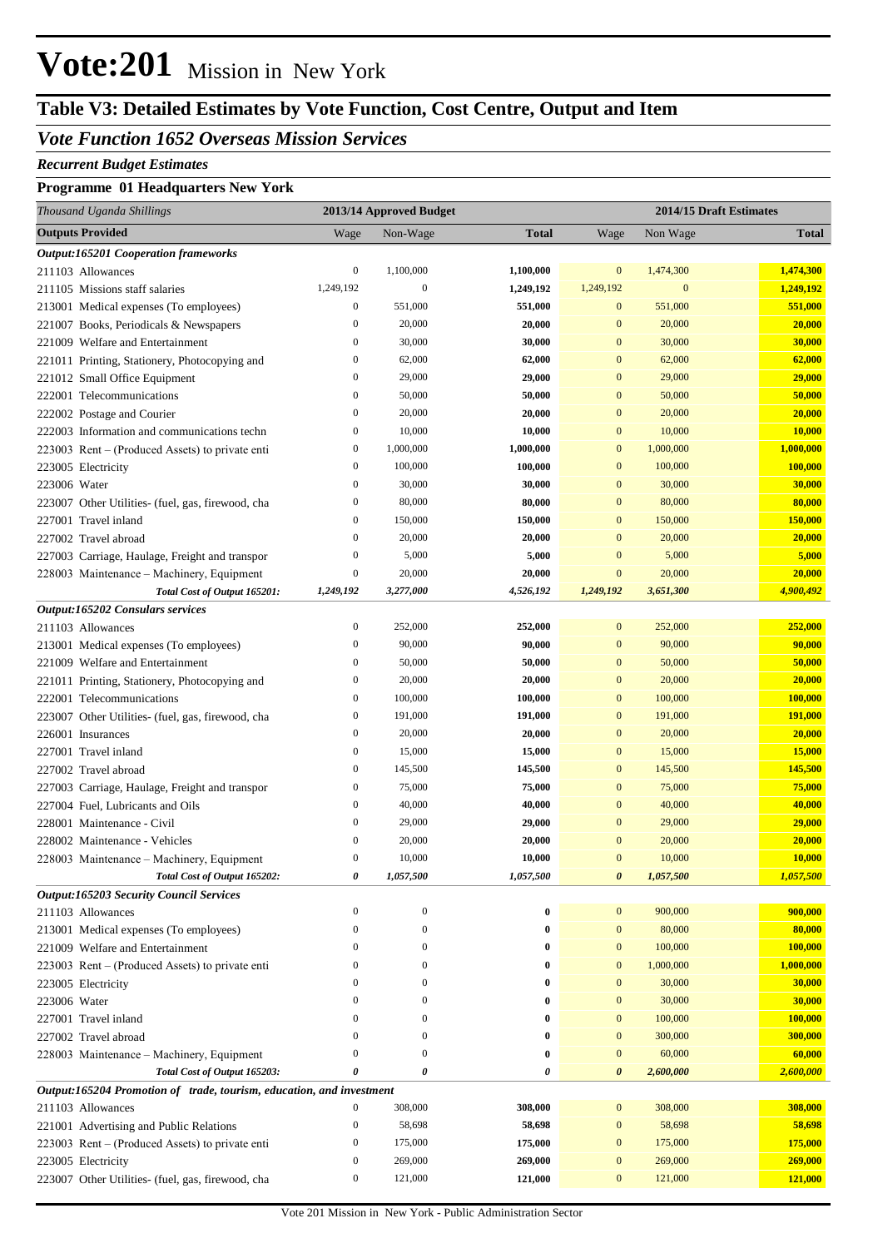# **Vote:201** Mission in New York

# **Table V3: Detailed Estimates by Vote Function, Cost Centre, Output and Item**

### *Vote Function 1652 Overseas Mission Services*

#### *Recurrent Budget Estimates*

#### **Programme 01 Headquarters New York**

| Thousand Uganda Shillings                                            | 2013/14 Approved Budget              |                  |                  | 2014/15 Draft Estimates      |                  |                  |  |
|----------------------------------------------------------------------|--------------------------------------|------------------|------------------|------------------------------|------------------|------------------|--|
| <b>Outputs Provided</b>                                              | Wage                                 | Non-Wage         | <b>Total</b>     | Wage                         | Non Wage         | <b>Total</b>     |  |
| <b>Output:165201 Cooperation frameworks</b>                          |                                      |                  |                  |                              |                  |                  |  |
| 211103 Allowances                                                    | $\boldsymbol{0}$                     | 1,100,000        | 1,100,000        | $\bf{0}$                     | 1,474,300        | 1,474,300        |  |
| 211105 Missions staff salaries                                       | 1,249,192                            | $\mathbf{0}$     | 1,249,192        | 1,249,192                    | $\mathbf{0}$     | 1,249,192        |  |
| 213001 Medical expenses (To employees)                               | $\boldsymbol{0}$                     | 551,000          | 551,000          | $\mathbf{0}$                 | 551,000          | 551,000          |  |
| 221007 Books, Periodicals & Newspapers                               | $\boldsymbol{0}$                     | 20,000           | 20,000           | $\mathbf{0}$                 | 20,000           | 20,000           |  |
| 221009 Welfare and Entertainment                                     | $\boldsymbol{0}$                     | 30,000           | 30,000           | $\mathbf{0}$                 | 30,000           | 30,000           |  |
| 221011 Printing, Stationery, Photocopying and                        | $\boldsymbol{0}$                     | 62,000           | 62,000           | $\mathbf{0}$                 | 62,000           | 62,000           |  |
| 221012 Small Office Equipment                                        | $\boldsymbol{0}$                     | 29,000           | 29,000           | $\mathbf{0}$                 | 29,000           | 29,000           |  |
| 222001 Telecommunications                                            | $\boldsymbol{0}$                     | 50,000           | 50,000           | $\mathbf{0}$                 | 50,000           | 50,000           |  |
| 222002 Postage and Courier                                           | $\boldsymbol{0}$                     | 20,000           | 20,000           | $\mathbf{0}$                 | 20,000           | 20,000           |  |
| 222003 Information and communications techn                          | $\boldsymbol{0}$                     | 10,000           | 10,000           | $\boldsymbol{0}$             | 10,000           | 10,000           |  |
| 223003 Rent – (Produced Assets) to private enti                      | $\boldsymbol{0}$                     | 1,000,000        | 1,000,000        | $\boldsymbol{0}$             | 1,000,000        | 1,000,000        |  |
| 223005 Electricity                                                   | $\boldsymbol{0}$                     | 100,000          | 100,000          | $\mathbf{0}$                 | 100,000          | 100,000          |  |
| 223006 Water                                                         | $\mathbf{0}$                         | 30,000           | 30,000           | $\mathbf{0}$                 | 30,000           | 30,000           |  |
| 223007 Other Utilities- (fuel, gas, firewood, cha                    | $\boldsymbol{0}$                     | 80,000           | 80,000           | $\mathbf{0}$                 | 80,000           | 80,000           |  |
| 227001 Travel inland                                                 | $\boldsymbol{0}$                     | 150,000          | 150,000          | $\mathbf{0}$                 | 150,000          | 150,000          |  |
| 227002 Travel abroad                                                 | $\boldsymbol{0}$                     | 20,000           | 20,000           | $\mathbf{0}$                 | 20,000           | 20,000           |  |
| 227003 Carriage, Haulage, Freight and transpor                       | $\boldsymbol{0}$                     | 5,000            | 5,000            | $\mathbf{0}$                 | 5,000            | 5,000            |  |
| 228003 Maintenance - Machinery, Equipment                            | $\boldsymbol{0}$                     | 20,000           | 20,000           | $\mathbf{0}$                 | 20,000           | 20,000           |  |
| Total Cost of Output 165201:                                         | 1,249,192                            | 3,277,000        | 4,526,192        | 1,249,192                    | 3,651,300        | 4,900,492        |  |
| Output:165202 Consulars services                                     |                                      |                  |                  |                              |                  |                  |  |
| 211103 Allowances                                                    | $\boldsymbol{0}$                     | 252,000          | 252,000          | $\bf{0}$                     | 252,000          | 252,000          |  |
| 213001 Medical expenses (To employees)                               | $\boldsymbol{0}$                     | 90,000           | 90,000           | $\mathbf{0}$                 | 90,000           | 90,000           |  |
| 221009 Welfare and Entertainment                                     | $\boldsymbol{0}$                     | 50,000           | 50,000           | $\mathbf{0}$                 | 50,000           | 50,000           |  |
| 221011 Printing, Stationery, Photocopying and                        | $\boldsymbol{0}$                     | 20,000           | 20,000           | $\mathbf{0}$                 | 20,000           | 20,000           |  |
| 222001 Telecommunications                                            | $\boldsymbol{0}$                     | 100,000          | 100,000          | $\mathbf{0}$                 | 100,000          | 100,000          |  |
| 223007 Other Utilities- (fuel, gas, firewood, cha                    | $\boldsymbol{0}$                     | 191,000          | 191,000          | $\mathbf{0}$                 | 191,000          | 191,000          |  |
| 226001 Insurances                                                    | $\boldsymbol{0}$                     | 20,000           | 20,000           | $\mathbf{0}$                 | 20,000           | 20,000           |  |
| 227001 Travel inland                                                 | $\boldsymbol{0}$                     | 15,000           | 15,000           | $\mathbf{0}$                 | 15,000           | 15,000           |  |
| 227002 Travel abroad                                                 | $\boldsymbol{0}$                     | 145,500          | 145,500          | $\mathbf{0}$                 | 145,500          | 145,500          |  |
| 227003 Carriage, Haulage, Freight and transpor                       | $\boldsymbol{0}$                     | 75,000           | 75,000           | $\mathbf{0}$                 | 75,000           | 75,000           |  |
| 227004 Fuel. Lubricants and Oils                                     | $\boldsymbol{0}$                     | 40,000           | 40,000           | $\mathbf{0}$                 | 40,000           | 40,000           |  |
| 228001 Maintenance - Civil<br>228002 Maintenance - Vehicles          | $\boldsymbol{0}$<br>$\boldsymbol{0}$ | 29,000           | 29,000           | $\mathbf{0}$<br>$\mathbf{0}$ | 29,000           | 29,000           |  |
| 228003 Maintenance - Machinery, Equipment                            | $\boldsymbol{0}$                     | 20,000<br>10,000 | 20,000<br>10,000 | $\mathbf{0}$                 | 20,000<br>10,000 | 20,000<br>10,000 |  |
| Total Cost of Output 165202:                                         | 0                                    | 1,057,500        | 1,057,500        | $\pmb{\theta}$               | 1,057,500        | 1,057,500        |  |
| <b>Output:165203 Security Council Services</b>                       |                                      |                  |                  |                              |                  |                  |  |
| 211103 Allowances                                                    | $\boldsymbol{0}$                     | $\mathbf{0}$     | $\boldsymbol{0}$ | $\boldsymbol{0}$             | 900,000          | 900,000          |  |
| 213001 Medical expenses (To employees)                               | $\boldsymbol{0}$                     | $\mathbf{0}$     | $\bf{0}$         | $\boldsymbol{0}$             | 80,000           | 80,000           |  |
| 221009 Welfare and Entertainment                                     | $\boldsymbol{0}$                     | $\mathbf{0}$     | $\bf{0}$         | $\boldsymbol{0}$             | 100,000          | 100,000          |  |
| 223003 Rent – (Produced Assets) to private enti                      | $\boldsymbol{0}$                     | $\mathbf{0}$     | $\bf{0}$         | $\mathbf{0}$                 | 1,000,000        | 1,000,000        |  |
| 223005 Electricity                                                   | $\boldsymbol{0}$                     | $\mathbf{0}$     | $\bf{0}$         | $\mathbf{0}$                 | 30,000           | 30,000           |  |
| 223006 Water                                                         | $\boldsymbol{0}$                     | $\mathbf{0}$     | $\bf{0}$         | $\mathbf{0}$                 | 30,000           | 30,000           |  |
| 227001 Travel inland                                                 | $\boldsymbol{0}$                     | $\mathbf{0}$     | $\bf{0}$         | $\boldsymbol{0}$             | 100,000          | 100,000          |  |
| 227002 Travel abroad                                                 | $\boldsymbol{0}$                     | $\mathbf{0}$     | $\bf{0}$         | $\mathbf{0}$                 | 300,000          | 300,000          |  |
| 228003 Maintenance - Machinery, Equipment                            | $\boldsymbol{0}$                     | $\mathbf{0}$     | $\bf{0}$         | $\boldsymbol{0}$             | 60,000           | 60,000           |  |
| Total Cost of Output 165203:                                         | 0                                    | 0                | 0                | $\boldsymbol{\theta}$        | 2,600,000        | 2,600,000        |  |
| Output:165204 Promotion of trade, tourism, education, and investment |                                      |                  |                  |                              |                  |                  |  |
| 211103 Allowances                                                    | $\boldsymbol{0}$                     | 308,000          | 308,000          | $\mathbf{0}$                 | 308,000          | 308,000          |  |
| 221001 Advertising and Public Relations                              | $\boldsymbol{0}$                     | 58,698           | 58,698           | $\boldsymbol{0}$             | 58,698           | 58,698           |  |
| 223003 Rent - (Produced Assets) to private enti                      | $\boldsymbol{0}$                     | 175,000          | 175,000          | $\boldsymbol{0}$             | 175,000          | 175,000          |  |
| 223005 Electricity                                                   | $\boldsymbol{0}$                     | 269,000          | 269,000          | $\boldsymbol{0}$             | 269,000          | 269,000          |  |
| 223007 Other Utilities- (fuel, gas, firewood, cha                    | $\boldsymbol{0}$                     | 121,000          | 121,000          | $\mathbf{0}$                 | 121,000          | 121,000          |  |
|                                                                      |                                      |                  |                  |                              |                  |                  |  |